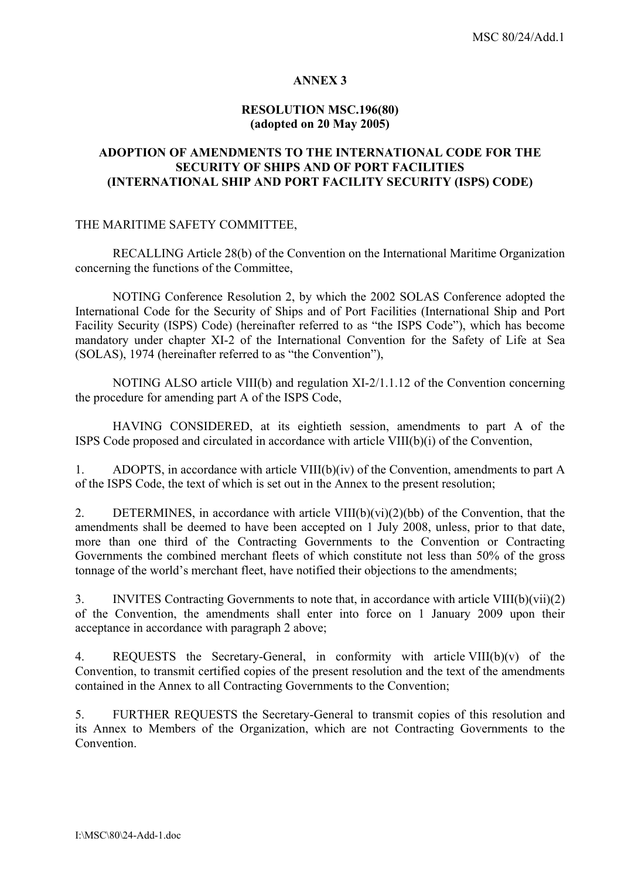### **ANNEX 3**

# **RESOLUTION MSC.196(80) (adopted on 20 May 2005)**

### **ADOPTION OF AMENDMENTS TO THE INTERNATIONAL CODE FOR THE SECURITY OF SHIPS AND OF PORT FACILITIES (INTERNATIONAL SHIP AND PORT FACILITY SECURITY (ISPS) CODE)**

#### THE MARITIME SAFETY COMMITTEE,

RECALLING Article 28(b) of the Convention on the International Maritime Organization concerning the functions of the Committee,

NOTING Conference Resolution 2, by which the 2002 SOLAS Conference adopted the International Code for the Security of Ships and of Port Facilities (International Ship and Port Facility Security (ISPS) Code) (hereinafter referred to as "the ISPS Code"), which has become mandatory under chapter XI-2 of the International Convention for the Safety of Life at Sea  $(SOLAS)$ , 1974 (hereinafter referred to as "the Convention"),

 NOTING ALSO article VIII(b) and regulation XI-2/1.1.12 of the Convention concerning the procedure for amending part A of the ISPS Code,

HAVING CONSIDERED, at its eightieth session, amendments to part A of the ISPS Code proposed and circulated in accordance with article VIII(b)(i) of the Convention,

1. ADOPTS, in accordance with article VIII(b)(iv) of the Convention, amendments to part A of the ISPS Code, the text of which is set out in the Annex to the present resolution;

2. DETERMINES, in accordance with article VIII(b)(vi)(2)(bb) of the Convention, that the amendments shall be deemed to have been accepted on 1 July 2008, unless, prior to that date, more than one third of the Contracting Governments to the Convention or Contracting Governments the combined merchant fleets of which constitute not less than 50% of the gross tonnage of the world's merchant fleet, have notified their objections to the amendments;

3. INVITES Contracting Governments to note that, in accordance with article VIII(b)(vii)(2) of the Convention, the amendments shall enter into force on 1 January 2009 upon their acceptance in accordance with paragraph 2 above;

4. REQUESTS the Secretary-General, in conformity with article VIII(b)(v) of the Convention, to transmit certified copies of the present resolution and the text of the amendments contained in the Annex to all Contracting Governments to the Convention;

5. FURTHER REQUESTS the Secretary-General to transmit copies of this resolution and its Annex to Members of the Organization, which are not Contracting Governments to the Convention.